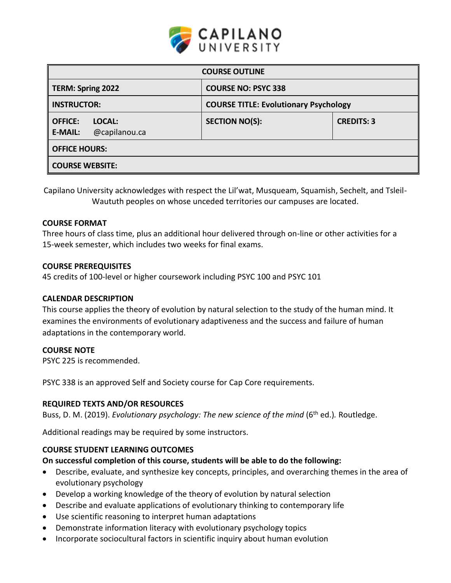

| <b>COURSE OUTLINE</b>                                       |                                              |                   |  |  |  |
|-------------------------------------------------------------|----------------------------------------------|-------------------|--|--|--|
| <b>TERM: Spring 2022</b>                                    | <b>COURSE NO: PSYC 338</b>                   |                   |  |  |  |
| <b>INSTRUCTOR:</b>                                          | <b>COURSE TITLE: Evolutionary Psychology</b> |                   |  |  |  |
| <b>OFFICE:</b><br>LOCAL:<br>@capilanou.ca<br><b>E-MAIL:</b> | <b>SECTION NO(S):</b>                        | <b>CREDITS: 3</b> |  |  |  |
| <b>OFFICE HOURS:</b>                                        |                                              |                   |  |  |  |
| <b>COURSE WEBSITE:</b>                                      |                                              |                   |  |  |  |

Capilano University acknowledges with respect the Lil'wat, Musqueam, Squamish, Sechelt, and Tsleil-Waututh peoples on whose unceded territories our campuses are located.

### **COURSE FORMAT**

Three hours of class time, plus an additional hour delivered through on-line or other activities for a 15-week semester, which includes two weeks for final exams.

#### **COURSE PREREQUISITES**

45 credits of 100-level or higher coursework including PSYC 100 and PSYC 101

### **CALENDAR DESCRIPTION**

This course applies the theory of evolution by natural selection to the study of the human mind. It examines the environments of evolutionary adaptiveness and the success and failure of human adaptations in the contemporary world.

### **COURSE NOTE**

PSYC 225 is recommended.

PSYC 338 is an approved Self and Society course for Cap Core requirements.

### **REQUIRED TEXTS AND/OR RESOURCES**

Buss, D. M. (2019). *Evolutionary psychology: The new science of the mind* (6<sup>th</sup> ed.). Routledge.

Additional readings may be required by some instructors.

### **COURSE STUDENT LEARNING OUTCOMES**

### **On successful completion of this course, students will be able to do the following:**

- Describe, evaluate, and synthesize key concepts, principles, and overarching themes in the area of evolutionary psychology
- Develop a working knowledge of the theory of evolution by natural selection
- Describe and evaluate applications of evolutionary thinking to contemporary life
- Use scientific reasoning to interpret human adaptations
- Demonstrate information literacy with evolutionary psychology topics
- Incorporate sociocultural factors in scientific inquiry about human evolution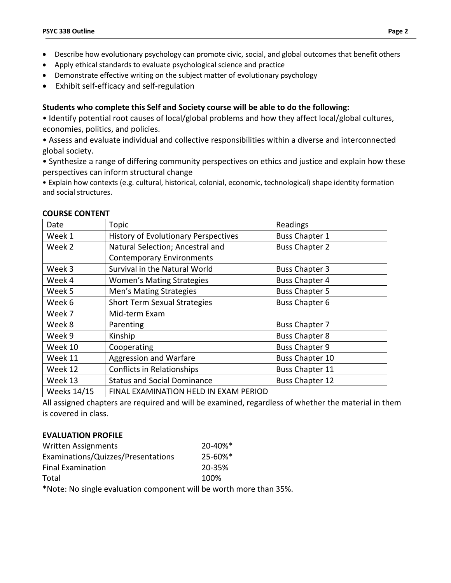- Describe how evolutionary psychology can promote civic, social, and global outcomes that benefit others
- Apply ethical standards to evaluate psychological science and practice
- Demonstrate effective writing on the subject matter of evolutionary psychology
- Exhibit self-efficacy and self-regulation

## **Students who complete this Self and Society course will be able to do the following:**

• Identify potential root causes of local/global problems and how they affect local/global cultures, economies, politics, and policies.

• Assess and evaluate individual and collective responsibilities within a diverse and interconnected global society.

• Synthesize a range of differing community perspectives on ethics and justice and explain how these perspectives can inform structural change

• Explain how contexts (e.g. cultural, historical, colonial, economic, technological) shape identity formation and social structures.

| Date                                          | Topic                                                                | Readings               |  |
|-----------------------------------------------|----------------------------------------------------------------------|------------------------|--|
| Week 1                                        | <b>History of Evolutionary Perspectives</b><br><b>Buss Chapter 1</b> |                        |  |
| Week 2                                        | Natural Selection; Ancestral and                                     | <b>Buss Chapter 2</b>  |  |
|                                               | <b>Contemporary Environments</b>                                     |                        |  |
| Week 3                                        | Survival in the Natural World                                        | <b>Buss Chapter 3</b>  |  |
| Week 4                                        | <b>Buss Chapter 4</b><br><b>Women's Mating Strategies</b>            |                        |  |
| Week 5                                        | Men's Mating Strategies<br><b>Buss Chapter 5</b>                     |                        |  |
| <b>Short Term Sexual Strategies</b><br>Week 6 |                                                                      | <b>Buss Chapter 6</b>  |  |
| Week 7                                        | Mid-term Exam                                                        |                        |  |
| Week 8                                        | Parenting                                                            | <b>Buss Chapter 7</b>  |  |
| Week 9                                        | Kinship                                                              | <b>Buss Chapter 8</b>  |  |
| Week 10                                       | Cooperating                                                          | <b>Buss Chapter 9</b>  |  |
| Week 11                                       | Aggression and Warfare                                               | <b>Buss Chapter 10</b> |  |
| Week 12                                       | <b>Conflicts in Relationships</b>                                    | <b>Buss Chapter 11</b> |  |
| Week 13                                       | <b>Status and Social Dominance</b>                                   | <b>Buss Chapter 12</b> |  |
| <b>Weeks 14/15</b>                            | FINAL EXAMINATION HELD IN EXAM PERIOD                                |                        |  |

#### **COURSE CONTENT**

All assigned chapters are required and will be examined, regardless of whether the material in them is covered in class.

## **EVALUATION PROFILE**

| <b>Written Assignments</b>         | $20 - 40\%$ <sup>*</sup> |  |
|------------------------------------|--------------------------|--|
| Examinations/Quizzes/Presentations | $25 - 60\%$ <sup>*</sup> |  |
| <b>Final Examination</b>           | 20-35%                   |  |
| Total                              | 100%                     |  |
|                                    |                          |  |

\*Note: No single evaluation component will be worth more than 35%.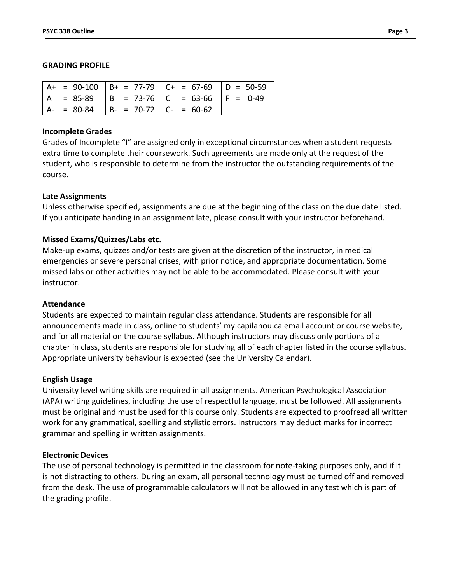#### **GRADING PROFILE**

|               |                           | $  A + = 90-100   B + = 77-79   C + = 67-69   D = 50-59$ |             |
|---------------|---------------------------|----------------------------------------------------------|-------------|
|               |                           | $= 85-89$  B = 73-76  C = 63-66                          | $ F = 0-49$ |
| $A - = 80-84$ | $B- = 70-72$ $C- = 60-62$ |                                                          |             |

#### **Incomplete Grades**

Grades of Incomplete "I" are assigned only in exceptional circumstances when a student requests extra time to complete their coursework. Such agreements are made only at the request of the student, who is responsible to determine from the instructor the outstanding requirements of the course.

### **Late Assignments**

Unless otherwise specified, assignments are due at the beginning of the class on the due date listed. If you anticipate handing in an assignment late, please consult with your instructor beforehand.

### **Missed Exams/Quizzes/Labs etc.**

Make-up exams, quizzes and/or tests are given at the discretion of the instructor, in medical emergencies or severe personal crises, with prior notice, and appropriate documentation. Some missed labs or other activities may not be able to be accommodated. Please consult with your instructor.

### **Attendance**

Students are expected to maintain regular class attendance. Students are responsible for all announcements made in class, online to students' my.capilanou.ca email account or course website, and for all material on the course syllabus. Although instructors may discuss only portions of a chapter in class, students are responsible for studying all of each chapter listed in the course syllabus. Appropriate university behaviour is expected (see the University Calendar).

#### **English Usage**

University level writing skills are required in all assignments. American Psychological Association (APA) writing guidelines, including the use of respectful language, must be followed. All assignments must be original and must be used for this course only. Students are expected to proofread all written work for any grammatical, spelling and stylistic errors. Instructors may deduct marks for incorrect grammar and spelling in written assignments.

### **Electronic Devices**

The use of personal technology is permitted in the classroom for note-taking purposes only, and if it is not distracting to others. During an exam, all personal technology must be turned off and removed from the desk. The use of programmable calculators will not be allowed in any test which is part of the grading profile.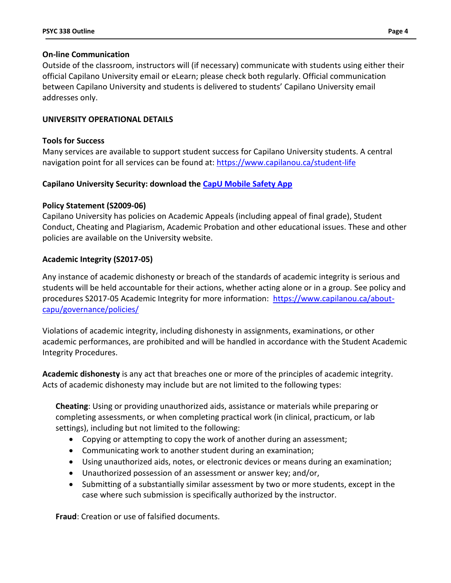### **On-line Communication**

Outside of the classroom, instructors will (if necessary) communicate with students using either their official Capilano University email or eLearn; please check both regularly. Official communication between Capilano University and students is delivered to students' Capilano University email addresses only.

## **UNIVERSITY OPERATIONAL DETAILS**

## **Tools for Success**

Many services are available to support student success for Capilano University students. A central navigation point for all services can be found at:<https://www.capilanou.ca/student-life>

# **Capilano University Security: download the [CapU Mobile Safety App](https://www.capilanou.ca/student-life/support--wellness/safety--security/capu-safe-app/)**

## **Policy Statement (S2009-06)**

Capilano University has policies on Academic Appeals (including appeal of final grade), Student Conduct, Cheating and Plagiarism, Academic Probation and other educational issues. These and other policies are available on the University website.

## **Academic Integrity (S2017-05)**

Any instance of academic dishonesty or breach of the standards of academic integrity is serious and students will be held accountable for their actions, whether acting alone or in a group. See policy and procedures S2017-05 Academic Integrity for more information: [https://www.capilanou.ca/about](https://www.capilanou.ca/about-capu/governance/policies/)[capu/governance/policies/](https://www.capilanou.ca/about-capu/governance/policies/)

Violations of academic integrity, including dishonesty in assignments, examinations, or other academic performances, are prohibited and will be handled in accordance with the Student Academic Integrity Procedures.

**Academic dishonesty** is any act that breaches one or more of the principles of academic integrity. Acts of academic dishonesty may include but are not limited to the following types:

**Cheating**: Using or providing unauthorized aids, assistance or materials while preparing or completing assessments, or when completing practical work (in clinical, practicum, or lab settings), including but not limited to the following:

- Copying or attempting to copy the work of another during an assessment;
- Communicating work to another student during an examination;
- Using unauthorized aids, notes, or electronic devices or means during an examination;
- Unauthorized possession of an assessment or answer key; and/or,
- Submitting of a substantially similar assessment by two or more students, except in the case where such submission is specifically authorized by the instructor.

**Fraud**: Creation or use of falsified documents.